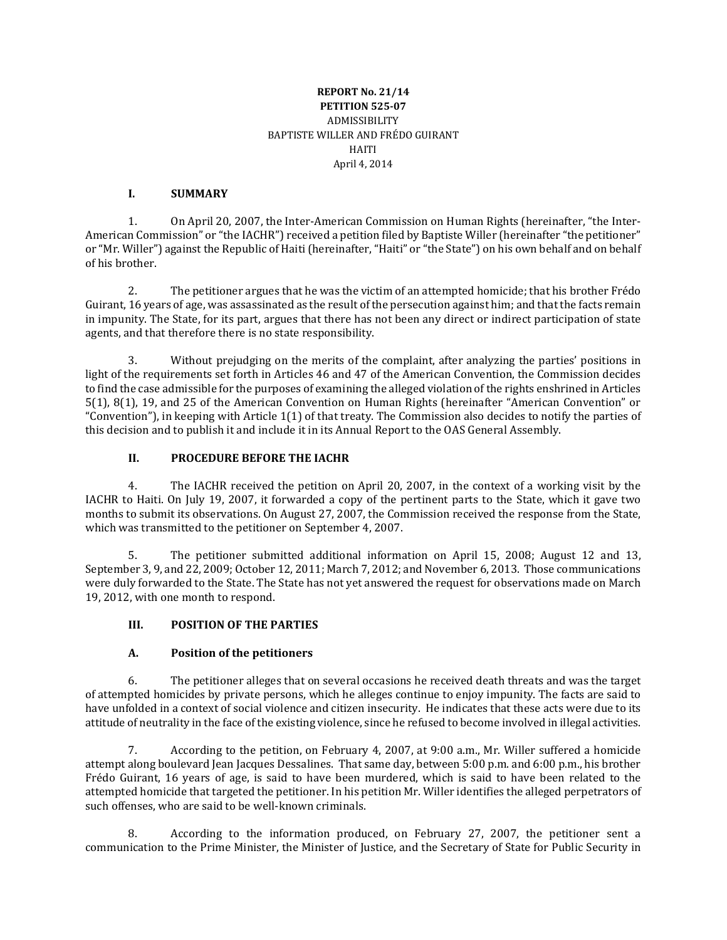#### **REPORT No. 21/14 PETITION 525-07** ADMISSIBILITY BAPTISTE WILLER AND FRÉDO GUIRANT HAITI April 4, 2014

#### **I. SUMMARY**

1. On April 20, 2007, the Inter-American Commission on Human Rights (hereinafter, "the Inter-American Commission" or "the IACHR") received a petition filed by Baptiste Willer (hereinafter "the petitioner" or "Mr. Willer") against the Republic of Haiti (hereinafter, "Haiti" or "the State") on his own behalf and on behalf of his brother.

2. The petitioner argues that he was the victim of an attempted homicide; that his brother Frédo Guirant, 16 years of age, was assassinated as the result of the persecution against him; and that the facts remain in impunity. The State, for its part, argues that there has not been any direct or indirect participation of state agents, and that therefore there is no state responsibility.

3. Without prejudging on the merits of the complaint, after analyzing the parties' positions in light of the requirements set forth in Articles 46 and 47 of the American Convention, the Commission decides to find the case admissible for the purposes of examining the alleged violation of the rights enshrined in Articles 5(1), 8(1), 19, and 25 of the American Convention on Human Rights (hereinafter "American Convention" or "Convention"), in keeping with Article 1(1) of that treaty. The Commission also decides to notify the parties of this decision and to publish it and include it in its Annual Report to the OAS General Assembly.

#### **II. PROCEDURE BEFORE THE IACHR**

4. The IACHR received the petition on April 20, 2007, in the context of a working visit by the IACHR to Haiti. On July 19, 2007, it forwarded a copy of the pertinent parts to the State, which it gave two months to submit its observations. On August 27, 2007, the Commission received the response from the State, which was transmitted to the petitioner on September 4, 2007.

5. The petitioner submitted additional information on April 15, 2008; August 12 and 13, September 3, 9, and 22, 2009; October 12, 2011; March 7, 2012; and November 6, 2013. Those communications were duly forwarded to the State. The State has not yet answered the request for observations made on March 19, 2012, with one month to respond.

#### **III. POSITION OF THE PARTIES**

## **A. Position of the petitioners**

6. The petitioner alleges that on several occasions he received death threats and was the target of attempted homicides by private persons, which he alleges continue to enjoy impunity. The facts are said to have unfolded in a context of social violence and citizen insecurity. He indicates that these acts were due to its attitude of neutrality in the face of the existing violence, since he refused to become involved in illegal activities.

7. According to the petition, on February 4, 2007, at 9:00 a.m., Mr. Willer suffered a homicide attempt along boulevard Jean Jacques Dessalines. That same day, between 5:00 p.m. and 6:00 p.m., his brother Frédo Guirant, 16 years of age, is said to have been murdered, which is said to have been related to the attempted homicide that targeted the petitioner. In his petition Mr. Willer identifies the alleged perpetrators of such offenses, who are said to be well-known criminals.

8. According to the information produced, on February 27, 2007, the petitioner sent a communication to the Prime Minister, the Minister of Justice, and the Secretary of State for Public Security in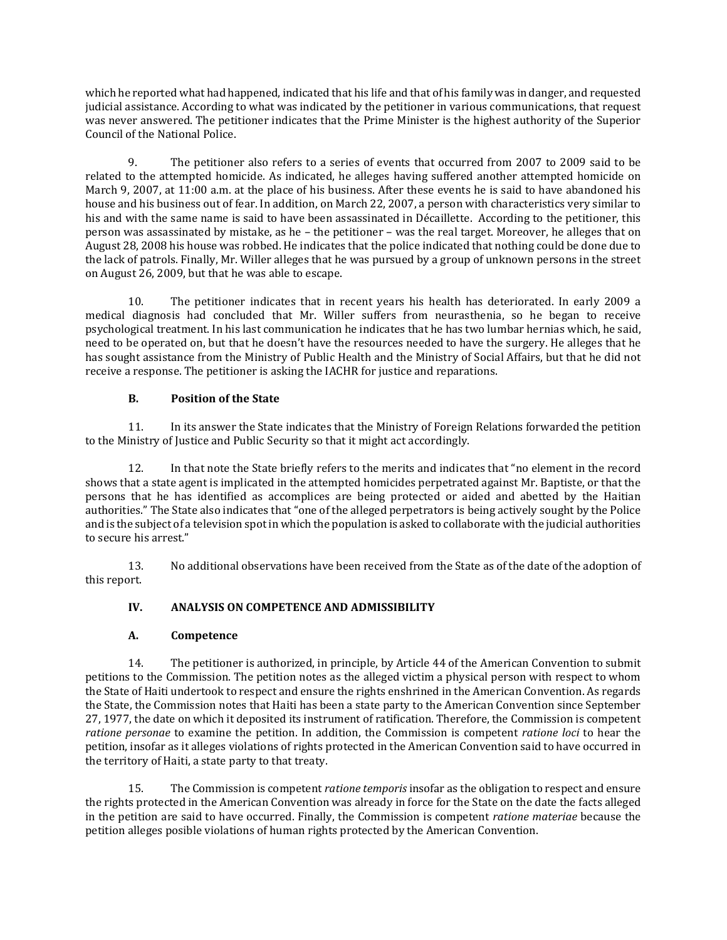which he reported what had happened, indicated that his life and that of his family was in danger, and requested judicial assistance. According to what was indicated by the petitioner in various communications, that request was never answered. The petitioner indicates that the Prime Minister is the highest authority of the Superior Council of the National Police.

9. The petitioner also refers to a series of events that occurred from 2007 to 2009 said to be related to the attempted homicide. As indicated, he alleges having suffered another attempted homicide on March 9, 2007, at 11:00 a.m. at the place of his business. After these events he is said to have abandoned his house and his business out of fear. In addition, on March 22, 2007, a person with characteristics very similar to his and with the same name is said to have been assassinated in Décaillette. According to the petitioner, this person was assassinated by mistake, as he – the petitioner – was the real target. Moreover, he alleges that on August 28, 2008 his house was robbed. He indicates that the police indicated that nothing could be done due to the lack of patrols. Finally, Mr. Willer alleges that he was pursued by a group of unknown persons in the street on August 26, 2009, but that he was able to escape.

10. The petitioner indicates that in recent years his health has deteriorated. In early 2009 a medical diagnosis had concluded that Mr. Willer suffers from neurasthenia, so he began to receive psychological treatment. In his last communication he indicates that he has two lumbar hernias which, he said, need to be operated on, but that he doesn't have the resources needed to have the surgery. He alleges that he has sought assistance from the Ministry of Public Health and the Ministry of Social Affairs, but that he did not receive a response. The petitioner is asking the IACHR for justice and reparations.

# **B. Position of the State**

11. In its answer the State indicates that the Ministry of Foreign Relations forwarded the petition to the Ministry of Justice and Public Security so that it might act accordingly.

12. In that note the State briefly refers to the merits and indicates that "no element in the record shows that a state agent is implicated in the attempted homicides perpetrated against Mr. Baptiste, or that the persons that he has identified as accomplices are being protected or aided and abetted by the Haitian authorities." The State also indicates that "one of the alleged perpetrators is being actively sought by the Police and is the subject of a television spot in which the population is asked to collaborate with the judicial authorities to secure his arrest."

13. No additional observations have been received from the State as of the date of the adoption of this report.

# **IV. ANALYSIS ON COMPETENCE AND ADMISSIBILITY**

## **A. Competence**

14. The petitioner is authorized, in principle, by Article 44 of the American Convention to submit petitions to the Commission. The petition notes as the alleged victim a physical person with respect to whom the State of Haiti undertook to respect and ensure the rights enshrined in the American Convention. As regards the State, the Commission notes that Haiti has been a state party to the American Convention since September 27, 1977, the date on which it deposited its instrument of ratification. Therefore, the Commission is competent *ratione personae* to examine the petition. In addition, the Commission is competent *ratione loci* to hear the petition, insofar as it alleges violations of rights protected in the American Convention said to have occurred in the territory of Haiti, a state party to that treaty.

15. The Commission is competent *ratione temporis* insofar as the obligation to respect and ensure the rights protected in the American Convention was already in force for the State on the date the facts alleged in the petition are said to have occurred. Finally, the Commission is competent *ratione materiae* because the petition alleges posible violations of human rights protected by the American Convention.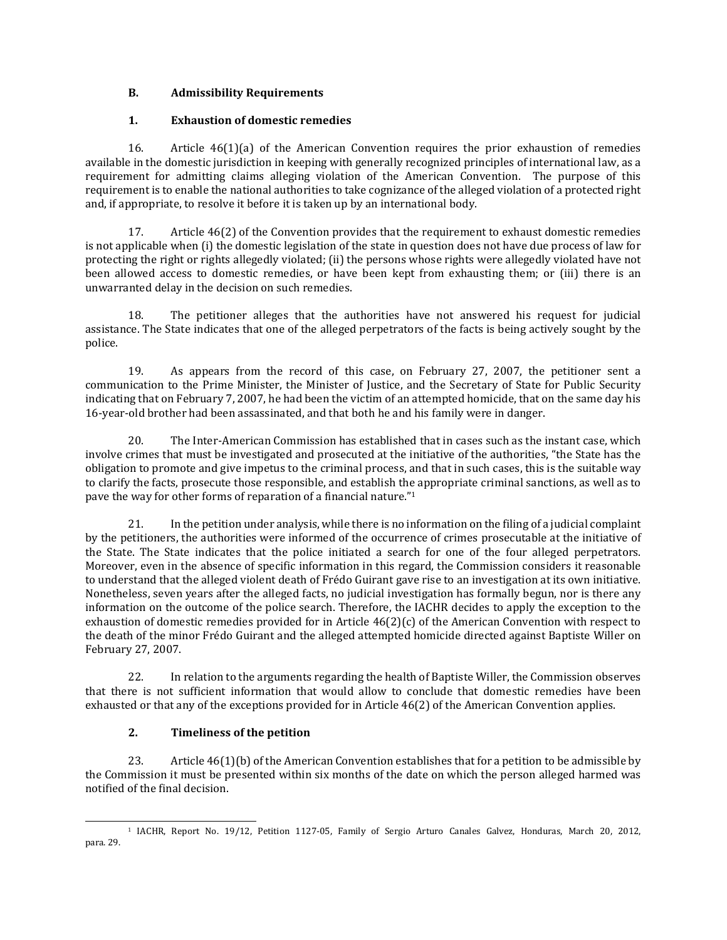# **B. Admissibility Requirements**

# **1. Exhaustion of domestic remedies**

16. Article 46(1)(a) of the American Convention requires the prior exhaustion of remedies available in the domestic jurisdiction in keeping with generally recognized principles of international law, as a requirement for admitting claims alleging violation of the American Convention. The purpose of this requirement is to enable the national authorities to take cognizance of the alleged violation of a protected right and, if appropriate, to resolve it before it is taken up by an international body.

17. Article 46(2) of the Convention provides that the requirement to exhaust domestic remedies is not applicable when (i) the domestic legislation of the state in question does not have due process of law for protecting the right or rights allegedly violated; (ii) the persons whose rights were allegedly violated have not been allowed access to domestic remedies, or have been kept from exhausting them; or (iii) there is an unwarranted delay in the decision on such remedies.

18. The petitioner alleges that the authorities have not answered his request for judicial assistance. The State indicates that one of the alleged perpetrators of the facts is being actively sought by the police.

19. As appears from the record of this case, on February 27, 2007, the petitioner sent a communication to the Prime Minister, the Minister of Justice, and the Secretary of State for Public Security indicating that on February 7, 2007, he had been the victim of an attempted homicide, that on the same day his 16-year-old brother had been assassinated, and that both he and his family were in danger.

20. The Inter-American Commission has established that in cases such as the instant case, which involve crimes that must be investigated and prosecuted at the initiative of the authorities, "the State has the obligation to promote and give impetus to the criminal process, and that in such cases, this is the suitable way to clarify the facts, prosecute those responsible, and establish the appropriate criminal sanctions, as well as to pave the way for other forms of reparation of a financial nature."<sup>1</sup>

21. In the petition under analysis, while there is no information on the filing of a judicial complaint by the petitioners, the authorities were informed of the occurrence of crimes prosecutable at the initiative of the State. The State indicates that the police initiated a search for one of the four alleged perpetrators. Moreover, even in the absence of specific information in this regard, the Commission considers it reasonable to understand that the alleged violent death of Frédo Guirant gave rise to an investigation at its own initiative. Nonetheless, seven years after the alleged facts, no judicial investigation has formally begun, nor is there any information on the outcome of the police search. Therefore, the IACHR decides to apply the exception to the exhaustion of domestic remedies provided for in Article 46(2)(c) of the American Convention with respect to the death of the minor Frédo Guirant and the alleged attempted homicide directed against Baptiste Willer on February 27, 2007.

22. In relation to the arguments regarding the health of Baptiste Willer, the Commission observes that there is not sufficient information that would allow to conclude that domestic remedies have been exhausted or that any of the exceptions provided for in Article 46(2) of the American Convention applies.

## **2. Timeliness of the petition**

23. Article 46(1)(b) of the American Convention establishes that for a petition to be admissible by the Commission it must be presented within six months of the date on which the person alleged harmed was notified of the final decision.

<sup>1</sup> IACHR, Report No. 19/12, Petition 1127-05, Family of Sergio Arturo Canales Galvez, Honduras, March 20, 2012, para. 29.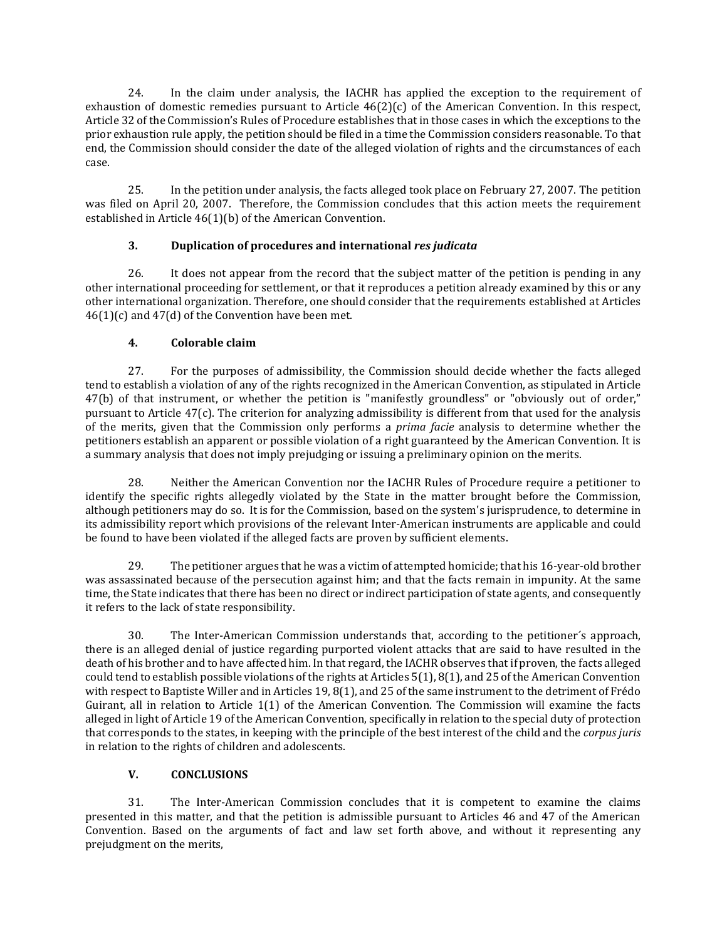24. In the claim under analysis, the IACHR has applied the exception to the requirement of exhaustion of domestic remedies pursuant to Article 46(2)(c) of the American Convention. In this respect, Article 32 of the Commission's Rules of Procedure establishes that in those cases in which the exceptions to the prior exhaustion rule apply, the petition should be filed in a time the Commission considers reasonable. To that end, the Commission should consider the date of the alleged violation of rights and the circumstances of each case.

25. In the petition under analysis, the facts alleged took place on February 27, 2007. The petition was filed on April 20, 2007. Therefore, the Commission concludes that this action meets the requirement established in Article 46(1)(b) of the American Convention.

# **3. Duplication of procedures and international** *res judicata*

26. It does not appear from the record that the subject matter of the petition is pending in any other international proceeding for settlement, or that it reproduces a petition already examined by this or any other international organization. Therefore, one should consider that the requirements established at Articles  $46(1)(c)$  and  $47(d)$  of the Convention have been met.

# **4. Colorable claim**

27. For the purposes of admissibility, the Commission should decide whether the facts alleged tend to establish a violation of any of the rights recognized in the American Convention, as stipulated in Article 47(b) of that instrument, or whether the petition is "manifestly groundless" or "obviously out of order," pursuant to Article 47(c). The criterion for analyzing admissibility is different from that used for the analysis of the merits, given that the Commission only performs a *prima facie* analysis to determine whether the petitioners establish an apparent or possible violation of a right guaranteed by the American Convention. It is a summary analysis that does not imply prejudging or issuing a preliminary opinion on the merits.

28. Neither the American Convention nor the IACHR Rules of Procedure require a petitioner to identify the specific rights allegedly violated by the State in the matter brought before the Commission, although petitioners may do so. It is for the Commission, based on the system's jurisprudence, to determine in its admissibility report which provisions of the relevant Inter-American instruments are applicable and could be found to have been violated if the alleged facts are proven by sufficient elements.

29. The petitioner argues that he was a victim of attempted homicide; that his 16-year-old brother was assassinated because of the persecution against him; and that the facts remain in impunity. At the same time, the State indicates that there has been no direct or indirect participation of state agents, and consequently it refers to the lack of state responsibility.

30. The Inter-American Commission understands that, according to the petitioner´s approach, there is an alleged denial of justice regarding purported violent attacks that are said to have resulted in the death of his brother and to have affected him. In that regard, the IACHR observes that if proven, the facts alleged could tend to establish possible violations of the rights at Articles 5(1), 8(1), and 25 of the American Convention with respect to Baptiste Willer and in Articles 19, 8(1), and 25 of the same instrument to the detriment of Frédo Guirant, all in relation to Article 1(1) of the American Convention. The Commission will examine the facts alleged in light of Article 19 of the American Convention, specifically in relation to the special duty of protection that corresponds to the states, in keeping with the principle of the best interest of the child and the *corpus juris* in relation to the rights of children and adolescents.

## **V. CONCLUSIONS**

31. The Inter-American Commission concludes that it is competent to examine the claims presented in this matter, and that the petition is admissible pursuant to Articles 46 and 47 of the American Convention. Based on the arguments of fact and law set forth above, and without it representing any prejudgment on the merits,